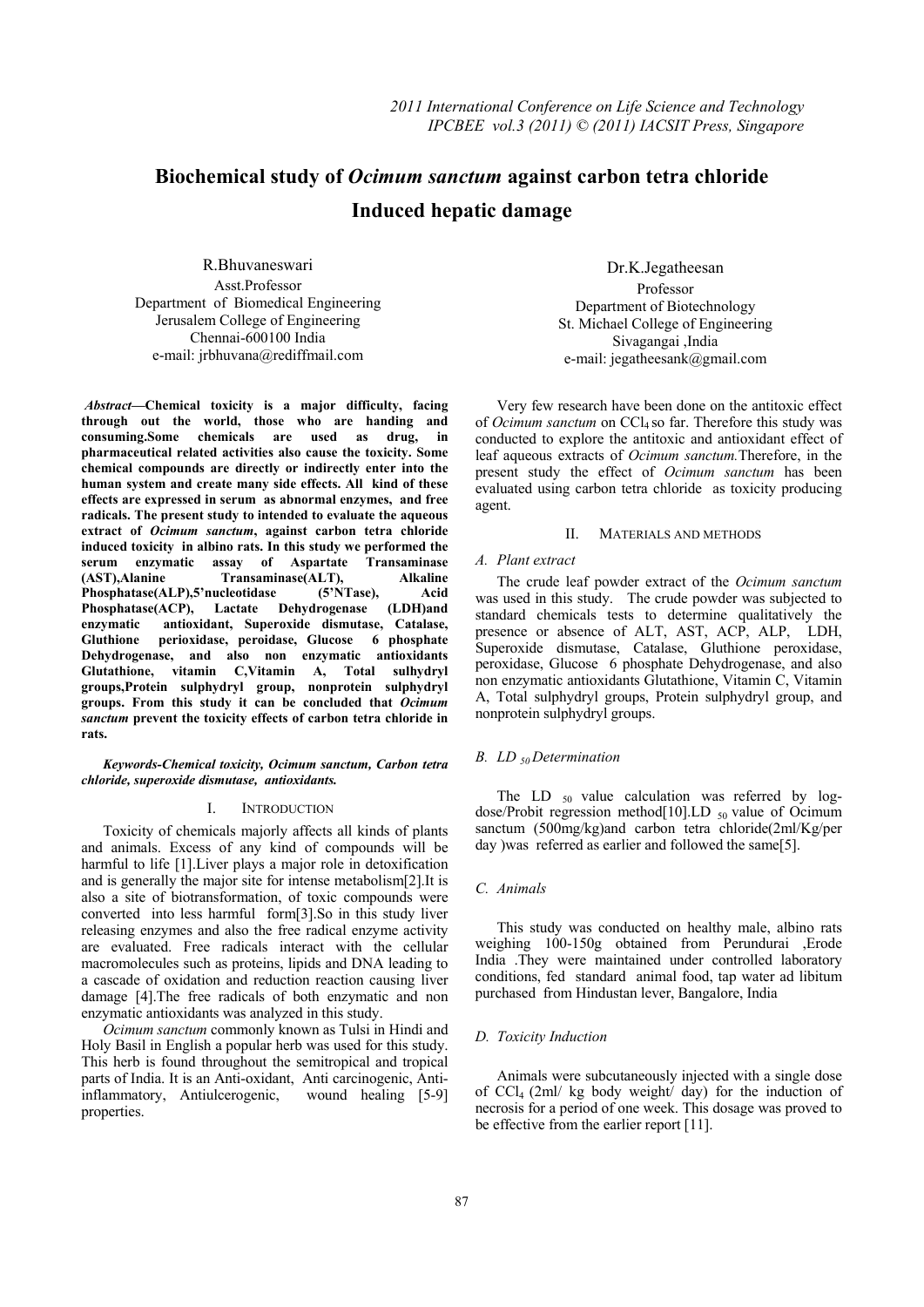# **Biochemical study of** *Ocimum sanctum* **against carbon tetra chloride Induced hepatic damage**

R.Bhuvaneswari Asst.Professor Department of Biomedical Engineering Jerusalem College of Engineering Chennai-600100 India e-mail: jrbhuvana@rediffmail.com

 *Abstract***—Chemical toxicity is a major difficulty, facing through out the world, those who are handing and consuming.Some chemicals are used as drug, in pharmaceutical related activities also cause the toxicity. Some chemical compounds are directly or indirectly enter into the human system and create many side effects. All kind of these effects are expressed in serum as abnormal enzymes, and free radicals. The present study to intended to evaluate the aqueous extract of** *Ocimum sanctum***, against carbon tetra chloride induced toxicity in albino rats. In this study we performed the serum enzymatic assay of Aspartate Transaminase (AST),Alanine Transaminase(ALT), Alkaline Phosphatase(ALP),5'nucleotidase (5'NTase), Acid Phosphatase(ACP), Lactate Dehydrogenase (LDH)and enzymatic antioxidant, Superoxide dismutase, Catalase, Gluthione perioxidase, peroidase, Glucose 6 phosphate Dehydrogenase, and also non enzymatic antioxidants Glutathione, vitamin C,Vitamin A, Total sulhydryl groups,Protein sulphydryl group, nonprotein sulphydryl groups. From this study it can be concluded that** *Ocimum sanctum* **prevent the toxicity effects of carbon tetra chloride in rats.** 

*Keywords-Chemical toxicity, Ocimum sanctum, Carbon tetra chloride, superoxide dismutase, antioxidants.* 

#### I. INTRODUCTION

Toxicity of chemicals majorly affects all kinds of plants and animals. Excess of any kind of compounds will be harmful to life [1]. Liver plays a major role in detoxification and is generally the major site for intense metabolism[2].It is also a site of biotransformation, of toxic compounds were converted into less harmful form[3].So in this study liver releasing enzymes and also the free radical enzyme activity are evaluated. Free radicals interact with the cellular macromolecules such as proteins, lipids and DNA leading to a cascade of oxidation and reduction reaction causing liver damage [4].The free radicals of both enzymatic and non enzymatic antioxidants was analyzed in this study.

*Ocimum sanctum* commonly known as Tulsi in Hindi and Holy Basil in English a popular herb was used for this study. This herb is found throughout the semitropical and tropical parts of India. It is an Anti-oxidant, Anti carcinogenic, Anti-<br>inflammatory, Antiulcerogenic, wound healing [5-9] inflammatory, Antiulcerogenic, properties.

Dr.K.Jegatheesan Professor Department of Biotechnology St. Michael College of Engineering Sivagangai ,India e-mail: jegatheesank@gmail.com

Very few research have been done on the antitoxic effect of *Ocimum sanctum* on CCl<sub>4</sub> so far. Therefore this study was conducted to explore the antitoxic and antioxidant effect of leaf aqueous extracts of *Ocimum sanctum.*Therefore, in the present study the effect of *Ocimum sanctum* has been evaluated using carbon tetra chloride as toxicity producing agent.

# II. MATERIALS AND METHODS

#### *A. Plant extract*

The crude leaf powder extract of the *Ocimum sanctum*  was used in this study. The crude powder was subjected to standard chemicals tests to determine qualitatively the presence or absence of ALT, AST, ACP, ALP, LDH, Superoxide dismutase, Catalase, Gluthione peroxidase, peroxidase, Glucose 6 phosphate Dehydrogenase, and also non enzymatic antioxidants Glutathione, Vitamin C, Vitamin A, Total sulphydryl groups, Protein sulphydryl group, and nonprotein sulphydryl groups.

# *B. LD 50 Determination*

The LD  $_{50}$  value calculation was referred by logdose/Probit regression method[10].LD  $_{50}$  value of Ocimum sanctum (500mg/kg)and carbon tetra chloride(2ml/Kg/per day )was referred as earlier and followed the same[5].

#### *C. Animals*

This study was conducted on healthy male, albino rats weighing 100-150g obtained from Perundurai ,Erode India .They were maintained under controlled laboratory conditions, fed standard animal food, tap water ad libitum purchased from Hindustan lever, Bangalore, India

# *D. Toxicity Induction*

Animals were subcutaneously injected with a single dose of  $CCl_4$  (2ml/ kg body weight/ day) for the induction of necrosis for a period of one week. This dosage was proved to be effective from the earlier report [11].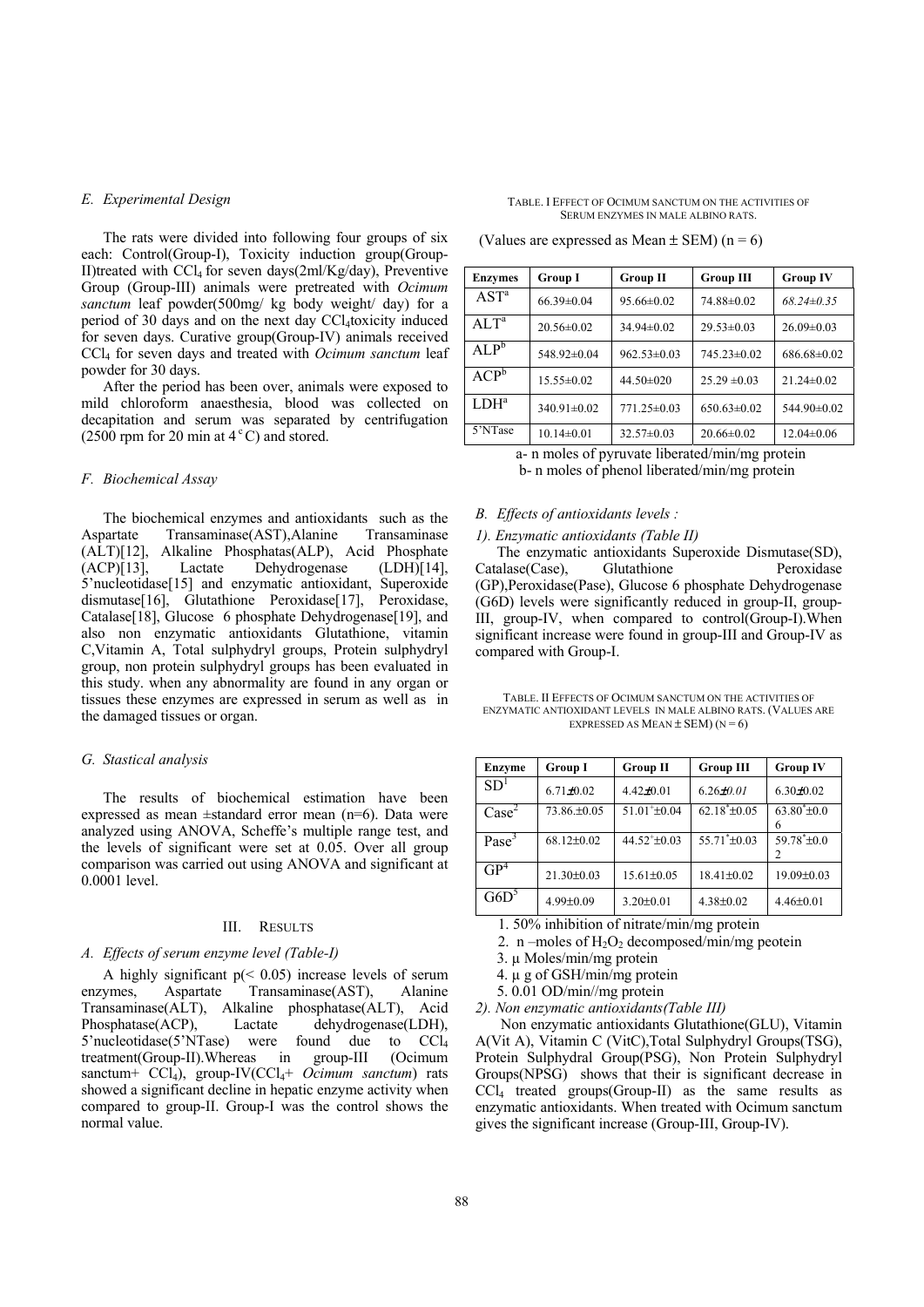# *E. Experimental Design*

The rats were divided into following four groups of six each: Control(Group-I), Toxicity induction group(Group-II)treated with CCl4 for seven days(2ml/Kg/day), Preventive Group (Group-III) animals were pretreated with *Ocimum sanctum* leaf powder(500mg/ kg body weight/ day) for a period of 30 days and on the next day CCl4toxicity induced for seven days. Curative group(Group-IV) animals received CCl4 for seven days and treated with *Ocimum sanctum* leaf powder for 30 days.

After the period has been over, animals were exposed to mild chloroform anaesthesia, blood was collected on decapitation and serum was separated by centrifugation (2500 rpm for 20 min at  $4^{\circ}$ C) and stored.

### *F. Biochemical Assay*

The biochemical enzymes and antioxidants such as the Aspartate Transaminase(AST),Alanine Transaminase (ALT)[12], Alkaline Phosphatas(ALP), Acid Phosphate (ACP)[13], Lactate Dehydrogenase (LDH)[14], 5'nucleotidase<sup>[15]</sup> and enzymatic antioxidant, Superoxide dismutase[16], Glutathione Peroxidase[17], Peroxidase, Catalase[18], Glucose 6 phosphate Dehydrogenase[19], and also non enzymatic antioxidants Glutathione, vitamin C,Vitamin A, Total sulphydryl groups, Protein sulphydryl group, non protein sulphydryl groups has been evaluated in this study. when any abnormality are found in any organ or tissues these enzymes are expressed in serum as well as in the damaged tissues or organ.

#### *G. Stastical analysis*

The results of biochemical estimation have been expressed as mean ±standard error mean (n=6). Data were analyzed using ANOVA, Scheffe's multiple range test, and the levels of significant were set at 0.05. Over all group comparison was carried out using ANOVA and significant at 0.0001 level.

### III. RESULTS

#### *A. Effects of serum enzyme level (Table-I)*

A highly significant  $p \leq 0.05$ ) increase levels of serum enzymes, Aspartate Transaminase(AST), Alanine Transaminase(ALT), Alkaline phosphatase(ALT), Acid Phosphatase(ACP), Lactate dehydrogenase(LDH), 5'nucleotidase(5'NTase) were found due to CCl4 treatment(Group-II).Whereas in group-III (Ocimum sanctum+ CCl<sub>4</sub>), group-IV(CCl<sub>4</sub>+ *Ocimum sanctum*) rats showed a significant decline in hepatic enzyme activity when compared to group-II. Group-I was the control shows the normal value.

| <b>Enzymes</b>   | <b>Group I</b>    | <b>Group II</b>  | <b>Group III</b>  | <b>Group IV</b>   |
|------------------|-------------------|------------------|-------------------|-------------------|
| AST <sup>a</sup> | $66.39 \pm 0.04$  | $95.66 \pm 0.02$ | 74.88±0.02        | $68.24 \pm 0.35$  |
| $A L T^a$        | $20.56 \pm 0.02$  | $34.94\pm0.02$   | $29.53 \pm 0.03$  | $26.09 \pm 0.03$  |
| $ALP^b$          | 548.92±0.04       | $962.53\pm0.03$  | $745.23\pm0.02$   | $686.68 \pm 0.02$ |
| ${ACP}^5$        | $15.55 \pm 0.02$  | 44.50 $\pm$ 020  | $25.29 \pm 0.03$  | $21.24 \pm 0.02$  |
| L <sup>a</sup>   | $340.91 \pm 0.02$ | $771.25\pm0.03$  | $650.63 \pm 0.02$ | 544.90±0.02       |
| 5'NTase          | $10.14 \pm 0.01$  | $32.57 \pm 0.03$ | $20.66 \pm 0.02$  | $12.04 \pm 0.06$  |

(Values are expressed as Mean  $\pm$  SEM) (n = 6)

a- n moles of pyruvate liberated/min/mg protein b- n moles of phenol liberated/min/mg protein

# *B. Effects of antioxidants levels :*

## *1). Enzymatic antioxidants (Table II)*

The enzymatic antioxidants Superoxide Dismutase(SD), Catalase(Case), Glutathione Peroxidase (GP),Peroxidase(Pase), Glucose 6 phosphate Dehydrogenase (G6D) levels were significantly reduced in group-II, group-III, group-IV, when compared to control(Group-I).When significant increase were found in group-III and Group-IV as compared with Group-I.

TABLE. II EFFECTS OF OCIMUM SANCTUM ON THE ACTIVITIES OF ENZYMATIC ANTIOXIDANT LEVELS IN MALE ALBINO RATS. (VALUES ARE EXPRESSED AS MEAN  $\pm$  SEM) (N = 6)

| <b>Enzyme</b>     | <b>Group I</b>   | <b>Group II</b>           | <b>Group III</b>   | <b>Group IV</b>        |
|-------------------|------------------|---------------------------|--------------------|------------------------|
| SD <sup>1</sup>   | $6.71 \pm 0.02$  | $4.42 \pm 0.01$           | $6.26 \pm 0.01$    | $6.30\pm0.02$          |
| $\text{Case}^2$   | 73.86.±0.05      | $51.01^{\text{+}}\pm0.04$ | $62.18^* \pm 0.05$ | $63.80^* \pm 0.0$<br>6 |
| Pase <sup>3</sup> | $68.12 \pm 0.02$ | $44.52^{+} \pm 0.03$      | $55.71^* \pm 0.03$ | $59.78^* \pm 0.0$      |
| GP <sup>4</sup>   | $21.30\pm0.03$   | $15.61 \pm 0.05$          | $18.41 \pm 0.02$   | $19.09 \pm 0.03$       |
| G6D <sup>5</sup>  | $4.99 \pm 0.09$  | $3.20 \pm 0.01$           | $4.38 \pm 0.02$    | $4.46 \pm 0.01$        |

1. 50% inhibition of nitrate/min/mg protein

- 2. n –moles of  $H_2O_2$  decomposed/min/mg peotein
- 3. µ Moles/min/mg protein
- 4. µ g of GSH/min/mg protein
- 5. 0.01 OD/min//mg protein
- *2). Non enzymatic antioxidants(Table III)*

 Non enzymatic antioxidants Glutathione(GLU), Vitamin A(Vit A), Vitamin C (VitC),Total Sulphydryl Groups(TSG), Protein Sulphydral Group(PSG), Non Protein Sulphydryl Groups(NPSG) shows that their is significant decrease in  $\text{CCl}_4$  treated groups(Group-II) as the same results as enzymatic antioxidants. When treated with Ocimum sanctum gives the significant increase (Group-III, Group-IV).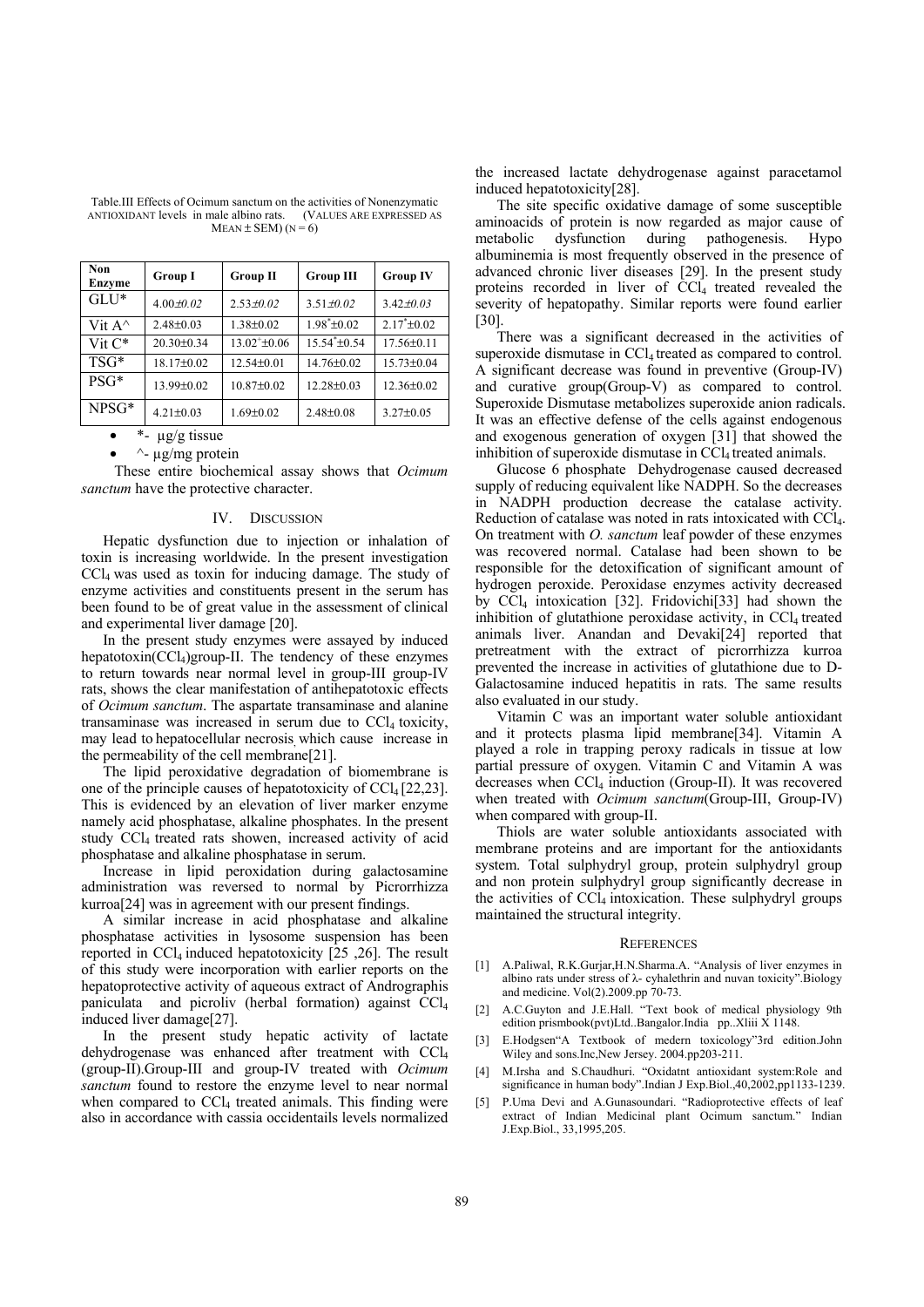Table.III Effects of Ocimum sanctum on the activities of Nonenzymatic ANTIOXIDANT levels in male albino rats. MEAN  $\pm$  SEM) (N = 6)

| Non<br>Enzyme    | <b>Group I</b>   | <b>Group II</b>  | <b>Group III</b>   | <b>Group IV</b>   |
|------------------|------------------|------------------|--------------------|-------------------|
| $GLJ^*$          | $4.00 \pm 0.02$  | $2.53 \pm 0.02$  | $3.51 \pm 0.02$    | $3.42 \pm 0.03$   |
| Vit $A^{\wedge}$ | $2.48 \pm 0.03$  | $1.38 \pm 0.02$  | $1.98^* \pm 0.02$  | $2.17^* \pm 0.02$ |
| Vit $C^*$        | $20.30 \pm 0.34$ | $13.02 \pm 0.06$ | $15.54^* \pm 0.54$ | $17.56 \pm 0.11$  |
| TSG*             | 18.17±0.02       | $12.54 \pm 0.01$ | $14.76 \pm 0.02$   | $15.73 \pm 0.04$  |
| $PSG*$           | 13.99±0.02       | $10.87 \pm 0.02$ | $12.28 \pm 0.03$   | $12.36 \pm 0.02$  |
| $NPSG*$          | $4.21 \pm 0.03$  | $1.69 \pm 0.02$  | $2.48 \pm 0.08$    | $3.27 \pm 0.05$   |

\*-  $\mu$ g/g tissue

 $\sim$ - ug/mg protein

 These entire biochemical assay shows that *Ocimum sanctum* have the protective character.

#### IV. DISCUSSION

Hepatic dysfunction due to injection or inhalation of toxin is increasing worldwide. In the present investigation CCl4 was used as toxin for inducing damage. The study of enzyme activities and constituents present in the serum has been found to be of great value in the assessment of clinical and experimental liver damage [20].

In the present study enzymes were assayed by induced hepatotoxin( $CCl<sub>4</sub>$ )group-II. The tendency of these enzymes to return towards near normal level in group-III group-IV rats, shows the clear manifestation of antihepatotoxic effects of *Ocimum sanctum*. The aspartate transaminase and alanine transaminase was increased in serum due to  $CCl<sub>4</sub>$  toxicity, may lead to hepatocellular necrosis which cause increase in the permeability of the cell membrane[21].

The lipid peroxidative degradation of biomembrane is one of the principle causes of hepatotoxicity of  $\text{CCl}_4$  [22,23]. This is evidenced by an elevation of liver marker enzyme namely acid phosphatase, alkaline phosphates. In the present study CCl4 treated rats showen, increased activity of acid phosphatase and alkaline phosphatase in serum.

Increase in lipid peroxidation during galactosamine administration was reversed to normal by Picrorrhizza kurroa[24] was in agreement with our present findings.

A similar increase in acid phosphatase and alkaline phosphatase activities in lysosome suspension has been reported in  $\text{CCl}_4$  induced hepatotoxicity [25, 26]. The result of this study were incorporation with earlier reports on the hepatoprotective activity of aqueous extract of Andrographis paniculata and picroliv (herbal formation) against CCl4 induced liver damage[27].

In the present study hepatic activity of lactate dehydrogenase was enhanced after treatment with CCl4 (group-II).Group-III and group-IV treated with *Ocimum sanctum* found to restore the enzyme level to near normal when compared to  $CCl<sub>4</sub>$  treated animals. This finding were also in accordance with cassia occidentails levels normalized

the increased lactate dehydrogenase against paracetamol induced hepatotoxicity[28].

The site specific oxidative damage of some susceptible aminoacids of protein is now regarded as major cause of metabolic dysfunction during pathogenesis. Hypo albuminemia is most frequently observed in the presence of advanced chronic liver diseases [29]. In the present study proteins recorded in liver of CCl<sub>4</sub> treated revealed the severity of hepatopathy. Similar reports were found earlier [30].

There was a significant decreased in the activities of superoxide dismutase in CCl<sub>4</sub> treated as compared to control. A significant decrease was found in preventive (Group-IV) and curative group(Group-V) as compared to control. Superoxide Dismutase metabolizes superoxide anion radicals. It was an effective defense of the cells against endogenous and exogenous generation of oxygen [31] that showed the inhibition of superoxide dismutase in CCl<sub>4</sub> treated animals.

Glucose 6 phosphate Dehydrogenase caused decreased supply of reducing equivalent like NADPH. So the decreases in NADPH production decrease the catalase activity. Reduction of catalase was noted in rats intoxicated with CCl4. On treatment with *O. sanctum* leaf powder of these enzymes was recovered normal. Catalase had been shown to be responsible for the detoxification of significant amount of hydrogen peroxide. Peroxidase enzymes activity decreased by CCl4 intoxication [32]. Fridovichi[33] had shown the inhibition of glutathione peroxidase activity, in  $\text{CC}l_4$  treated animals liver. Anandan and Devaki[24] reported that pretreatment with the extract of picrorrhizza kurroa prevented the increase in activities of glutathione due to D-Galactosamine induced hepatitis in rats. The same results also evaluated in our study.

Vitamin C was an important water soluble antioxidant and it protects plasma lipid membrane[34]. Vitamin A played a role in trapping peroxy radicals in tissue at low partial pressure of oxygen. Vitamin C and Vitamin A was decreases when CCl4 induction (Group-II). It was recovered when treated with *Ocimum sanctum*(Group-III, Group-IV) when compared with group-II.

Thiols are water soluble antioxidants associated with membrane proteins and are important for the antioxidants system. Total sulphydryl group, protein sulphydryl group and non protein sulphydryl group significantly decrease in the activities of  $\text{CCl}_4$  intoxication. These sulphydryl groups maintained the structural integrity.

#### **REFERENCES**

- [1] A.Paliwal, R.K.Gurjar,H.N.Sharma.A. "Analysis of liver enzymes in albino rats under stress of λ- cyhalethrin and nuvan toxicity".Biology and medicine. Vol(2).2009.pp 70-73.
- [2] A.C.Guyton and J.E.Hall. "Text book of medical physiology 9th edition prismbook(pvt)Ltd..Bangalor.India pp..Xliii X 1148.
- [3] E.Hodgsen"A Textbook of medern toxicology"3rd edition.John Wiley and sons.Inc,New Jersey. 2004.pp203-211.
- [4] M.Irsha and S.Chaudhuri. "Oxidatnt antioxidant system:Role and significance in human body".Indian J Exp.Biol.,40,2002,pp1133-1239.
- [5] P.Uma Devi and A.Gunasoundari. "Radioprotective effects of leaf extract of Indian Medicinal plant Ocimum sanctum." Indian J.Exp.Biol., 33,1995,205.